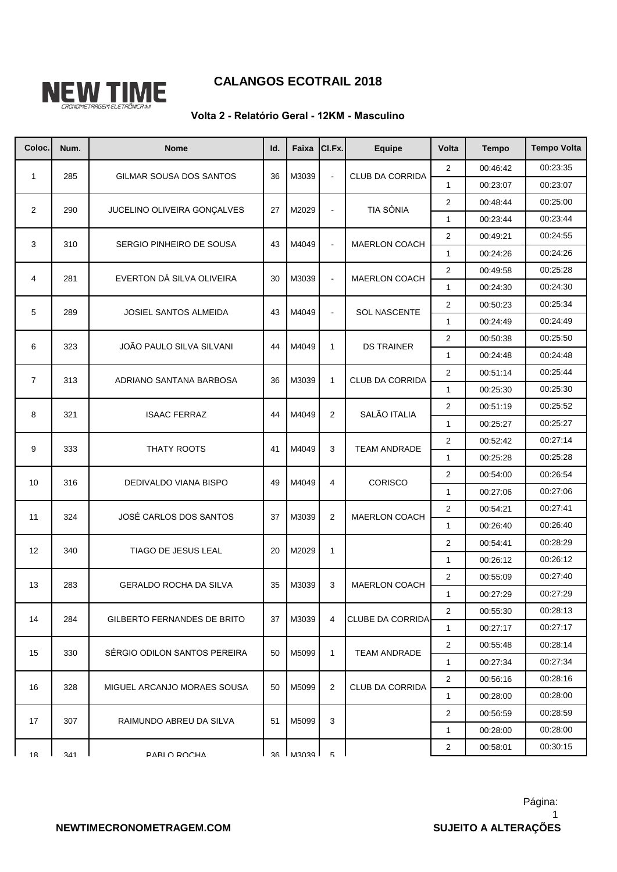

## **CALANGOS ECOTRAIL 2018**

## **Volta 2 - Relatório Geral - 12KM - Masculino**

| Coloc.         | Num. | <b>Nome</b>                     | ld. | Faixa               | CI.Fx.         | Equipe                  | Volta                   | <b>Tempo</b> | <b>Tempo Volta</b> |
|----------------|------|---------------------------------|-----|---------------------|----------------|-------------------------|-------------------------|--------------|--------------------|
| $\mathbf{1}$   | 285  |                                 | 36  |                     |                | <b>CLUB DA CORRIDA</b>  | 2                       | 00:46:42     | 00:23:35           |
|                |      | GILMAR SOUSA DOS SANTOS         |     | M3039               | $\blacksquare$ |                         | $\mathbf{1}$            | 00:23:07     | 00:23:07           |
| $\overline{2}$ | 290  | JUCELINO OLIVEIRA GONCALVES     | 27  | M2029               | L,             | <b>TIA SÔNIA</b>        | $\overline{2}$          | 00:48:44     | 00:25:00           |
|                |      |                                 |     |                     |                |                         | $\mathbf{1}$            | 00:23:44     | 00:23:44           |
| 3              | 310  | SERGIO PINHEIRO DE SOUSA        | 43  | M4049               | $\blacksquare$ | <b>MAERLON COACH</b>    | $\overline{2}$          | 00:49:21     | 00:24:55           |
|                |      |                                 |     |                     |                |                         | $\mathbf{1}$            | 00:24:26     | 00:24:26           |
| 4              | 281  | EVERTON DÁ SILVA OLIVEIRA       | 30  | M3039               | $\blacksquare$ | <b>MAERLON COACH</b>    | $\boldsymbol{2}$        | 00:49:58     | 00:25:28           |
|                |      |                                 |     |                     |                |                         | $\mathbf{1}$            | 00:24:30     | 00:24:30           |
| 5              | 289  | <b>JOSIEL SANTOS ALMEIDA</b>    | 43  | M4049               | $\blacksquare$ | <b>SOL NASCENTE</b>     | $\overline{2}$          | 00:50:23     | 00:25:34           |
|                |      |                                 |     |                     |                |                         | $\mathbf{1}$            | 00:24:49     | 00:24:49           |
| 6              | 323  | <b>JOÃO PAULO SILVA SILVANI</b> | 44  | M4049               | $\mathbf{1}$   | <b>DS TRAINER</b>       | $\overline{\mathbf{c}}$ | 00:50:38     | 00:25:50           |
|                |      |                                 |     |                     |                |                         | $\mathbf{1}$            | 00:24:48     | 00:24:48           |
| $\overline{7}$ | 313  | ADRIANO SANTANA BARBOSA         | 36  | M3039               | $\mathbf{1}$   | <b>CLUB DA CORRIDA</b>  | $\overline{2}$          | 00:51:14     | 00:25:44           |
|                |      |                                 |     |                     |                |                         | $\mathbf{1}$            | 00:25:30     | 00:25:30           |
| 8              | 321  | <b>ISAAC FERRAZ</b>             | 44  | M4049               | $\overline{2}$ | SALÃO ITALIA            | $\boldsymbol{2}$        | 00:51:19     | 00:25:52           |
|                |      |                                 |     |                     |                |                         | $\mathbf{1}$            | 00:25:27     | 00:25:27           |
| 9              | 333  | THATY ROOTS                     | 41  | M4049               | 3              | <b>TEAM ANDRADE</b>     | $\overline{2}$          | 00:52:42     | 00:27:14           |
|                |      |                                 |     |                     |                |                         | $\mathbf{1}$            | 00:25:28     | 00:25:28           |
| 10             | 316  | DEDIVALDO VIANA BISPO           | 49  | M4049               | 4              | <b>CORISCO</b>          | $\overline{2}$          | 00:54:00     | 00:26:54           |
|                |      |                                 |     |                     |                |                         | $\mathbf{1}$            | 00:27:06     | 00:27:06           |
| 11             | 324  | JOSÉ CARLOS DOS SANTOS          | 37  | M3039               | 2              | <b>MAERLON COACH</b>    | $\overline{2}$          | 00:54:21     | 00:27:41           |
|                |      |                                 |     |                     |                |                         | $\mathbf{1}$            | 00:26:40     | 00:26:40           |
| 12             | 340  | TIAGO DE JESUS LEAL             | 20  | M2029               | $\mathbf{1}$   |                         | $\overline{2}$          | 00:54:41     | 00:28:29           |
|                |      |                                 |     |                     |                |                         | $\mathbf{1}$            | 00:26:12     | 00:26:12           |
| 13             | 283  | <b>GERALDO ROCHA DA SILVA</b>   | 35  | M3039               | 3              | <b>MAERLON COACH</b>    | $\overline{2}$          | 00:55:09     | 00:27:40           |
|                |      |                                 |     |                     |                |                         | $\mathbf{1}$            | 00:27:29     | 00:27:29           |
| 14             | 284  | GILBERTO FERNANDES DE BRITO     | 37  | M3039               | 4              | <b>CLUBE DA CORRIDA</b> | $\boldsymbol{2}$        | 00:55:30     | 00:28:13           |
|                |      |                                 |     |                     |                |                         | $\mathbf{1}$            | 00:27:17     | 00:27:17           |
| 15             | 330  | SÉRGIO ODILON SANTOS PEREIRA    | 50  | M5099               | $\mathbf{1}$   | <b>TEAM ANDRADE</b>     | $\overline{c}$          | 00:55:48     | 00:28:14           |
|                |      |                                 |     |                     |                |                         | $\mathbf{1}$            | 00:27:34     | 00:27:34           |
| 16             | 328  | MIGUEL ARCANJO MORAES SOUSA     | 50  | M5099               | 2              | CLUB DA CORRIDA         | $\overline{2}$          | 00:56:16     | 00:28:16           |
|                |      |                                 |     |                     |                |                         | $\mathbf{1}$            | 00:28:00     | 00:28:00           |
| 17             | 307  | RAIMUNDO ABREU DA SILVA         | 51  | M5099               | 3              |                         | 2                       | 00:56:59     | 00:28:59           |
|                |      |                                 |     |                     |                |                         | 1                       | 00:28:00     | 00:28:00           |
| 18             | 341  | PARI O ROCHA                    |     | <b>1 APOSN 1 AP</b> | $\sqrt{2}$     |                         | 2                       | 00:58:01     | 00:30:15           |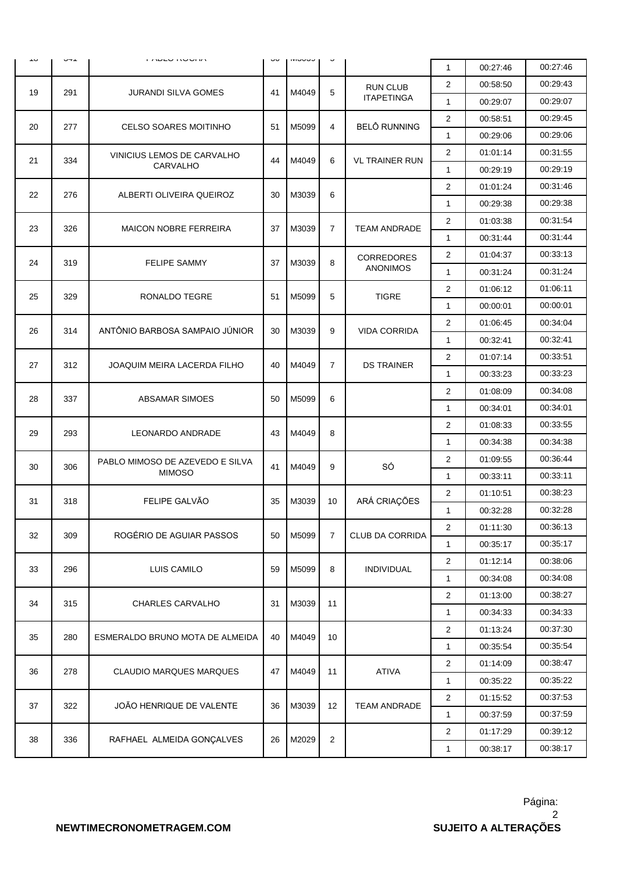|     | UTT |                                 | υu |               | $\check{ }$    |                                      |                |          |          |
|-----|-----|---------------------------------|----|---------------|----------------|--------------------------------------|----------------|----------|----------|
| J ب |     | ה השבט הסטה וה                  |    | <b>IVIUUU</b> |                |                                      | $\mathbf{1}$   | 00:27:46 | 00:27:46 |
| 19  | 291 | <b>JURANDI SILVA GOMES</b>      | 41 | M4049         | 5              | <b>RUN CLUB</b><br><b>ITAPETINGA</b> | $\overline{2}$ | 00:58:50 | 00:29:43 |
|     |     |                                 |    |               |                |                                      | $\mathbf{1}$   | 00:29:07 | 00:29:07 |
| 20  | 277 | <b>CELSO SOARES MOITINHO</b>    | 51 | M5099         | $\overline{4}$ | <b>BELÔ RUNNING</b>                  | 2              | 00:58:51 | 00:29:45 |
|     |     |                                 |    |               |                |                                      | $\mathbf{1}$   | 00:29:06 | 00:29:06 |
|     |     | VINICIUS LEMOS DE CARVALHO      |    |               |                |                                      | 2              | 01:01:14 | 00:31:55 |
| 21  | 334 | CARVALHO                        | 44 | M4049         | 6              | <b>VL TRAINER RUN</b>                | $\mathbf{1}$   | 00:29:19 | 00:29:19 |
| 22  | 276 | ALBERTI OLIVEIRA QUEIROZ        | 30 | M3039         | 6              |                                      | 2              | 01:01:24 | 00:31:46 |
|     |     |                                 |    |               |                |                                      | $\mathbf{1}$   | 00:29:38 | 00:29:38 |
| 23  |     |                                 | 37 |               |                | <b>TEAM ANDRADE</b>                  | 2              | 01:03:38 | 00:31:54 |
|     | 326 | <b>MAICON NOBRE FERREIRA</b>    |    | M3039         | $\overline{7}$ |                                      | $\mathbf{1}$   | 00:31:44 | 00:31:44 |
| 24  |     | <b>FELIPE SAMMY</b>             | 37 | M3039         | 8              | <b>CORREDORES</b><br><b>ANONIMOS</b> | 2              | 01:04:37 | 00:33:13 |
|     | 319 |                                 |    |               |                |                                      | $\mathbf{1}$   | 00:31:24 | 00:31:24 |
|     |     |                                 |    |               |                |                                      | 2              | 01:06:12 | 01:06:11 |
| 25  | 329 | RONALDO TEGRE                   | 51 | M5099         | 5              | <b>TIGRE</b>                         | $\mathbf{1}$   | 00:00:01 | 00:00:01 |
|     | 314 | ANTÔNIO BARBOSA SAMPAIO JÚNIOR  | 30 |               | 9              | <b>VIDA CORRIDA</b>                  | $\overline{2}$ | 01:06:45 | 00:34:04 |
| 26  |     |                                 |    | M3039         |                |                                      | $\mathbf{1}$   | 00:32:41 | 00:32:41 |
| 27  | 312 | JOAQUIM MEIRA LACERDA FILHO     |    |               | $\overline{7}$ | <b>DS TRAINER</b>                    | 2              | 01:07:14 | 00:33:51 |
|     |     |                                 | 40 | M4049         |                |                                      | $\mathbf{1}$   | 00:33:23 | 00:33:23 |
| 28  | 337 | <b>ABSAMAR SIMOES</b>           | 50 | M5099         | 6              |                                      | 2              | 01:08:09 | 00:34:08 |
|     |     |                                 |    |               |                |                                      | $\mathbf{1}$   | 00:34:01 | 00:34:01 |
| 29  | 293 |                                 | 43 | M4049         | 8              |                                      | 2              | 01:08:33 | 00:33:55 |
|     |     | LEONARDO ANDRADE                |    |               |                |                                      | $\mathbf{1}$   | 00:34:38 | 00:34:38 |
| 30  | 306 | PABLO MIMOSO DE AZEVEDO E SILVA | 41 | M4049         | 9              | SÓ                                   | 2              | 01:09:55 | 00:36:44 |
|     |     | <b>MIMOSO</b>                   |    |               |                |                                      | $\mathbf{1}$   | 00:33:11 | 00:33:11 |
| 31  | 318 | FELIPE GALVÃO                   | 35 | M3039         | 10             | ARÁ CRIAÇÕES                         | 2              | 01:10:51 | 00:38:23 |
|     |     |                                 |    |               |                |                                      | $\mathbf{1}$   | 00:32:28 | 00:32:28 |
| 32  | 309 | ROGÉRIO DE AGUIAR PASSOS        | 50 | M5099         | $\overline{7}$ | <b>CLUB DA CORRIDA</b>               | $\mathbf 2$    | 01:11:30 | 00:36:13 |
|     |     |                                 |    |               |                |                                      | $\mathbf{1}$   | 00:35:17 | 00:35:17 |
| 33  | 296 | LUIS CAMILO                     | 59 | M5099         | 8              | <b>INDIVIDUAL</b>                    | 2              | 01:12:14 | 00:38:06 |
|     |     |                                 |    |               |                |                                      | 1              | 00:34:08 | 00:34:08 |
| 34  | 315 | <b>CHARLES CARVALHO</b>         | 31 | M3039         | 11             |                                      | $\overline{2}$ | 01:13:00 | 00:38:27 |
|     |     |                                 |    |               |                |                                      | $\mathbf{1}$   | 00:34:33 | 00:34:33 |
|     | 280 | ESMERALDO BRUNO MOTA DE ALMEIDA | 40 | M4049         | 10             |                                      | 2              | 01:13:24 | 00:37:30 |
| 35  |     |                                 |    |               |                |                                      | $\mathbf{1}$   | 00:35:54 | 00:35:54 |
| 36  | 278 | <b>CLAUDIO MARQUES MARQUES</b>  | 47 | M4049         | 11             | ATIVA                                | 2              | 01:14:09 | 00:38:47 |
|     |     |                                 |    |               |                |                                      | $\mathbf{1}$   | 00:35:22 | 00:35:22 |
| 37  | 322 | JOÃO HENRIQUE DE VALENTE        | 36 | M3039         | 12             | <b>TEAM ANDRADE</b>                  | 2              | 01:15:52 | 00:37:53 |
|     |     |                                 |    |               |                |                                      | 1              | 00:37:59 | 00:37:59 |
| 38  | 336 | RAFHAEL ALMEIDA GONÇALVES       | 26 | M2029         | $\overline{2}$ |                                      | $\overline{c}$ | 01:17:29 | 00:39:12 |
|     |     |                                 |    |               |                |                                      | $\mathbf{1}$   | 00:38:17 | 00:38:17 |